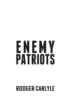# ENEMY **PATRIOTS**

## **RODGER CARLYLE**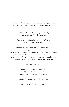This is a work of fiction. The names, characters, organizations and events are products of the author's imagination and bear no relation to any living person or are used fictitiously.

> ENEMY PATRIOTS. Copyright © 2020 by Rodger Carlyle. All rights reserved.

Published in the United States by Verity Books, an imprint of Comsult, LLC.

All rights reserved. Except for brief passages except quoted in newspaper, magazine, radio, television or online reviews, no portion of this book may be reproduced, distributed, or transmitted in any form or by any means, electronic or mechanical including photocopying, recording, or information storage or retrieval systems without the prior written permission of the author and/or Comsult, LLC.

First published in 2021.

ISBN 978-1-7360074-0-2 (e-book) ISBN 978-1-7360074-5-7 (hardback) ISBN 978-1-73600-74-1-9 (paperback)

Editing: Inventing Reality Editing Service

Cover design and formatting: Damonza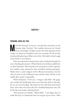### **Chapter 1**

#### **YOKOHAMA, JAPAN, JULY 1940**

**M** ichi felt fortunate to secure a second-class stateroom on the German ship *Friedrich*. The troubles between the United German ship *Friedrich*. The troubles between the United States and Empire of Japan meant that their planned return voyage on American President Lines was canceled. He bit his lip, momentarily glancing at Kiko next to him. She hadn't turned a page in her book in ten minutes.

Nine men dressed in cheap brown suits circulated through the room checking documents. All had identical tan fedoras pulled low on their foreheads. There seemed to be no pattern to their inquiries, just random stops among the three hundred waiting passengers. Michi tried to catch snippets of the official conversations, but the echo of voices in the windowed room and the click of heels on the marble floor made it impossible.

Michi whispered, "I love you," trying to calm Kiko. The gangway outside the double glass doors rose from the dock to the ship, but no one was boarding. The hands on the wall-clock moved past three, more than two hours after the scheduled departure time. He bit his lip even harder, drawing blood.

"Your parents are healthy," offered Kiko. "I am happy that we made this trip. It is important that we not give up our roots." Kiko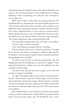checked that the pins holding her hat on her still jet-black hair were in place. She wore little makeup over her California tan, her figure reflecting a mile of swimming every other day. She continued to stare at page 118.

Michi tried to find a smile below his graying mustache. He straightened his tie, buttoning the coat of his double-breasted suit. "The company will be better after my father and I worked out our differences about entering the American market. He doesn't realize how much competition there is in the states for canned salmon." Michi watched the men in suits. He lifted Kiko's tiny hand in his; she pulled away. He dried his hand on his pants and tried again. "My mother looks better than I expected after her fall."

"You sound like a Japanese man now. So formal, so controlled." "I'm just a little worried, and angry."

"I just wish Mark was traveling with us," said Kiko.

"Our son will be with us soon," offered her husband. "It might be for the best, that Mark is traveling on a different ship. Besides, he wanted to visit my parents' summer home in Karafuto and teach his grandfather how to fly fish."

"It will be good for him to meet his grandmother. She was disappointed that he she didn't get to meet him in Sapporo." Kiko dropped her book into a basket at her feet. She dabbed at her chin and brow with her hanky.

"You don't worry that the interview you gave to *The Times* will put him in danger?" asked Kiko.

"No, dear. Our episode with the Army police was just paranoia," he lied. "My interview stated the obvious; Japan and the United States make better friends than enemies. Both countries' economies are driven by foreign commerce. Japan can feed itself, but food like the salmon we ship here helps keep prices low. That was the point I was making."

Kiko swallowed hard as one of the men in brown suits stopped in front of them, looking down at Michi before moving across the aisle to converse with another man. He handed the man a note.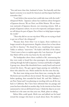"You said more than that, husband of mine. You basically said that Japan's economy is no match for America's and that Japan had better remember that."

"I can't believe that anyone here could take issue with the truth," whispered Michi. "Japanese culture has traditions about foreigners of Japanese descent. We are Nisei, not Kibei Shimin. We are American nationals of Japanese descent, not returning citizens. Still, as people of Japanese culture, we are to be respected, and Japan expects we will always be part of Japan. Part of that is to help Japan navigate the world."

"Then why did we cut our trip short? Why are we trying so hard to get out of here? she whispered."

"Because dear, from what I see in Japan, those traditions no longer extend to the government. Regular citizens love to hear about our life in America." He closed his eyes, visualizing four separate Tokko or military "interviews." He hadn't told Kiko of the others. "I don't want to have to explain again why I am American. It's good that Mark will be on his way home by the end of July."

The loudspeaker above them crackled to life, announcing that they were ready to board first class passengers, the announcement echoing through the hall in Japanese, German and finally in English. A group rose, almost like shorebirds from a sandy beach and moved toward the doors. The gate agents began passing out umbrellas to those who asked for one. Michi smiled for the first time that day.

The short man sitting across from them rose, crossing the aisle. His brown suit was still new, his tie twisted. The man wiped his glasses before speaking, then extended his hand. Mr. and Mrs. Ishihara, I am Peter Yamai and I was planning on traveling with you all the way back to California. But I have been informed that my passage and yours has been rebooked on another ship. In the interim we have been summoned to visit an old friend of yours. I think the ship we are now booked on is the same one that your son, Mark, plans on taking.

Before Kiko could speak, Michi rose and jabbed out his hand toward the stranger who knew so much about them. He smiled at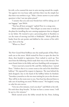his wife, as he counted the men in suits moving toward the couple. Ten against two was lousy odds and then there was the simple fact that there was nowhere to go. "Kiko, a better answer to your earlier question is that I am just plain pissed."

"I assume that you and your friends here will be taking care of our luggage," spat Michi.

"That has all been arranged," replied Peter in a smug tone.

Michi took Kiko's hand. "This will give us some time to work on the plans for installing the new canning equipment that we shipped to my father. He wanted to put a processing plant in Karafuto to cut the waste of moving iced fish to Hokkaido." Michi pulled the hanky from his suit pocket and dabbed at the corners of his wife's eyes, then at his lip.

"Where to, Peter?"

\*

The New Grand Hotel bellboys met the small parade of blue Plymouth cars at the street. Michi waited for Peter to open the door for them, then headed to registration. Peter rushed to catch up. Two men from the following vehicle made their way to the elevator. Two more found chairs in the lobby and were fumbling with newspapers.

"I have reserved a room for Mr. and Mrs. Ishihara here," started Peter. "I believe that it is a corner room at the end of the third-floor hallway." He repeated his request in Japanese. The man behind the desk dropped a key in the hand of the bellboy before he finished. "Introduce yourselves to the two men waiting for you at the elevator. They will be in the room next to you. Your host has directed them to take care of anything you need. Within reason." He laughed, trying to calm his own nerves.

"Give me a few minutes, won't you dear?" said Michi to his wife. He took three deep breaths. "At least we have a corner room. I will be up in a few minutes."

Michi started across the lobby toward the bar. Peter, looking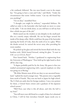a bit confused, followed. The two men found a seat in the empty bar. "I'm going to have a rum and Coke," said Michi. "Under the circumstances that seems 'within reason.' Can my old friend buy you anything?"

"I'm on duty," mumbled Peter.

"I thought you might be military," responded Ishihara. He called an order to the bartender who had made no move to come to the table. "I do not drink alone, so you will have to tell my host that a drink was part of the job."

Michi stared out the window at rain dimples in the small puddles on a mostly empty sidewalk. He ran his finger around the inside of his damp collar. Michi could hear the pop of the bartender opening the bottle of Coke, then the rattle of ice in a glass. When the drinks arrived, he waived the server away after providing his room number.

He picked up his glass and stirred the brown fluid with the tiny bamboo stick. Michi leaned forward, raising his glass. "A toast to USC or is it UCLA, Peter?"

Peter leaned back. "Neither, I graduated in engineering from the University of Washington." Peter held up his right hand to show off his class ring.

"A degree probably paid for by the Army. My guess is that you studied aeronautical engineering with a special emphasis on what was going on at Boeing."

"We Kibei Shimin must all do our duty to our ancestral homeland," replied the much younger man. "My parents own a vegetable farm north of Seattle. They sent me back to Japan for high school. The U-Dub sets aside slots for foreign students. I was a two pointer for them, a United States citizen and a graduate of the Japanese school system."

"Well Peter, just what is this all about, and who the hell is my host?"

"You will meet your old friend in a couple of days; he is detained in China. I will let him introduce himself. Japan needs you to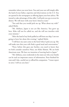remember where you were born. You and your son will simply offer the land of your father, expertise and observations on the U.S. You are quoted in the newspapers as offering Japan your best advice. We intend to take advantage of that offer. I will pick you up at seven for dinner. We will meet with your host's America team."

"You said that you would pick me up. What about my wife?" asked Michi.

"Mr. Ishihara, Japan is not yet like America. You grew up here. Kiko will not be called on, and she will not interfere with your mission."

"After the land of my birth pulled us off from our ship, I am not going to leave her alone this evening," replied Michi.

"I will have my aunt come to the hotel when I pick you up. She will make sure that your wife finds a good meal and conversation."

"Peter, before this goes any further, you need to know that we both consider ourselves Nisei, not Kibei Shimin. We are both Americans now. We have no intention of moving back to Japan."

"Mr. Ishihara, your credentials in the states are why your family can be such an important source of information. Peter finished his rum and Coke, careful not to offend his companion. "I must report in now, I will see you later."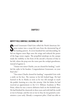#### **Chapter 2**

#### **MOFFETT FIELD, SUNNYVALE, CALIFORNIA, JULY 1941**

**S** econd Lieutenant Chad Gritt rolled the North American Aviation trainer into a steep left turn from the downwind leg of his landing pattern. At seven hundred feet and descending, he ation trainer into a steep left turn from the downwind leg of his landing pattern. At seven hundred feet and descending, he fed ten degrees more flaps onto the wings and reduced the power of the huge rotary engine. The propelled raindrops on the canopy made the visibility to the front of the aircraft a fraction of that to his left, where the prop sent the water past the cockpit greenhouse, instead of against it.

"Trainer two-niner Charlie, you are cleared for landing," crackled the radio in his headset. Congratulations Lieutenant, on your final solo."

"Two-niner Charlie cleared for landing," responded Gritt with a smile on his face. The runway to his left looked huge. He had learned to fly in Alaska as soon as he was old enough to reach the pedals, learning on a tiny dirt airstrip. Like his father, he had received an appointment to the U.S. Military Academy at West Point, where he was a reserve defensive back on the football team. He had finished his classwork in three years and with half the world at war in Europe, and the rest at war in Asia, he was granted a commission a year early. Already a competent pilot, Chad was able to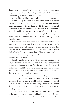skip the first three months of the normal nine-month cadet pilot program. *Another turn and a landing, and I will finally find out what I will be flying in the real world,* he thought.

Moffett Field had been sunny all buy one day in the previous months. Today the clouds were only a hundred feet above the canopy. He rolled the big two seat training airplane into another ninety-degree turn to the left, lining up with the runway. He rotated his head from the side window, to the windscreen in front of him. Before he could react, the front of the aircraft exploded in white and red as a flock of seagulls was sucked through the spinning propeller. To either side of him, birds slammed into the wings and the extended flaps.

A massive vibration shook the airplane as the damaged propeller began to tear the engine from the engine mounts. Chad instinctively reached down and pulled the power from the engine. "Mayday, Mayday" he spat into the microphone, "Two-niner Charlie, I hit a flock of birds. The engine is shut down. I have wing damage."

"Two-niner Charlie, can you make the runway?" came an instanta- neous response.

The airplane began to twist. *Fly the damned airplane, don't talk,* he thought. He corrected the twist with heavy rudder, but the airplane was dropping way too fast, the one drawback to a radial engine. They would fly with a piston missing, but without power, the huge flat surface at the front of the plane became an airbrake, the fuselage, a cinder block with wings.

"Two-niner Charlie you are cleared for landing."

Chad tugged on the handle that controlled the flaps, trying to reduce the drag. They moved up a bit and then jammed. He looked up at the airspeed indicator. It was flickering between the yellow and the red lines. He pushed the nose down to gain a bit more speed, avoiding a stall.

"Two-niner Charlie, this will be close," he called, as the end of the runway appeared through his blood and rain-covered windscreen. Chad managed to keep the nose of the plane toward the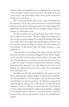runway, which was disappearing into a single thin line on the horizon as the plane settled toward the ground. The lights at the end of the runway were still visible in front of him as he felt the main landing gear touch down.

On a normal day, the dirt short of the runway was baked hard, like pavement. On this day, twenty-four hours of rain had softened the ground. He felt the landing gear under the wings dragging. He pulled back on the stick with all of his strength, trying to keep the airplane in a three-point stance.

It worked until the tires, pushing through three inches of mud, hit the edge of the pavement. The plane tipped nose down and in slow motion continued tipping. He watched the landing lights slide by on either side of the cockpit, and then the plane pitched up over the prop and spinner, landing on its back, the tail smashing into the pavement. It slid another thirty feet before coming to a stop, upside down.

Chad reached out and flipped the toggle switches that shut down the electricity in the plane, killing the master and the magnetos. He closed the valve that allowed fuel to flow to the engine. The top of the greenhouse was resting on the ground; there was no way to open the canopy. The smell of aviation fuel invaded the cockpit. He instinctively released his seat belt, falling on his head. In the distance, he could hear the sirens of fire trucks. The increasing fuel fumes burned his eyes.

He rolled onto his side and bundled his legs against his chest before unleashing them against the glass and aluminum around him. The kick launched two sections of glass, and the aluminum frame that held them out onto the pavement. He rolled over to squeeze his body thorugh the opening, but could only get his neck and shoulders into it. *Damn it, Chad you are smarter than this.* He pulled back into the cockpit and released the clasps on his parachute, struggling in the cramped space to discard it. A moment later, he crawled to his feet on the runway and turned to look at the crumpled silver airplane.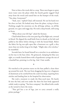Next to him a fire truck slid to a stop. Three men began to spray more water onto the plane while the fourth gently tugged Chad away from the wreck and seated him on the bumper of the truck. "You okay, Lieutenant?"

"Yeah, sure," replied Chad, still stunned. He ran his hand over his close cut hair. He looked away from the plane, trying to focus. Nothing caught his attention on the all-beige airbase, on all-flat ground, on a grey and soggy day. He took a deep breath, still trying to focus.

"What about your left leg?" asked the fireman.

Chad looked down at the torn pant leg of his flight suit, covered in blood. He slipped the small knife from its sheath on his belt and pulled at the fabric before slitting it with the honed blade. Below the fabric his leg was split open like a bratwurst on a grill, a slice more than ten inches long in his thigh. "Might take a few stitches," he mumbled.

Seconds later, he found himself on a stretcher in an ambulance on his way to the base clinic. He grimaced, clamping his blue eyes tight, as a medic leaned down with a hypodermic syringe the size of a baseball bat, pointing it at his leg. *God, I hate needles.*

#### \*

He watched as the prettiest nurse on the base pulled a clean sheet up around his neck. The tear from dragging his leg over a fragment of aluminum as he crawled from the crash was deep, requiring forty stitches and landing him in the hospital for observation.

She took a moment to study the blue-eyed man. He barely fit into the bed, and even under the sheet his lean body appeared coiled, ready to spring. "You have company," she offered with a smile as she turned to leave the room.

"That girl has a set of legs, just to carry around a really prime package."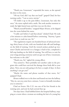"Thank you, Lieutenant," responded the nurse, as she opened the door to his room.

"Oh my God, did I say that out loud?" gasped Chad, his face turning scarlet. "I am so sorry, ma'am."

"I'll chalk it up to the pain killers, Lieutenant, but only this once," the nurse replied with a smile. She took another moment to study the light-haired man and then was out the door.

"Watch yourself hotshot," snapped Major Alvarez, as he slipped into the room behind the nurse.

"I really can't believe I said that aloud," choked Chad. He took a few minutes to calm himself before continuing. "Anyway, I guess you're here to wash me out, Sir."

"The regulations require one hundred hours of advanced training; thirty hours of solo, with one hundred take offs and landings, on the field of training. Until the wrench jockeys picked up twoniner Charlie and moved it to a hangar, it had in fact, completed a full stop landing on the field of training. You will have to wait for your wings pinning ceremony until you get out of here, Lieutenant, but welcome to the club."

"Thank you, Sir," sighed the young officer.

"You earned it. There probably isn't another cadet in the program who could have survived the damage those birds did to your plane. Now, you are only going to be here a couple of days. Is there anything I can get you?"

"Maybe the name and phone number of that nurse, Sir," quipped Chad.

Alvarez walked over to the door and leaned out into the hallway. "Hey sis, can you come here a minute, I want to formally introduce you to someone."

Chad sat frozen. His C.O. was one of his few friends in the training unit, and now he had screwed that up.

Two days later, Chad hobbled down the hospital hallway, stopping at a room where a woman sat stroking the hair of a young boy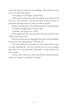whose left side was covered in lose bandages. She looked up at the man at the door and smiled.

"Is he going to be all right?" asked Chad.

"Yeah, some scarring from where he pulled a pan of hot oil off the stove," she answered. "The doctors think he there will be no permanent damage except for where the skin is burned."

The boy opened his eyes. "How did you get hurt?" he asked Chad.

"Crashed a damaged plane trying to land."

"Someday I am going to be a pilot."

Chad stepped into the room and slid a chair up to the boy's bed. "What's your name, son?"

The boy's slurred speech telegraphed the power of the painkillers the doctors were administering. "Maxwell, Sir."

"You know Maxwell, most pilots are more afraid of burn injuries than anything else. You have already proven you are tougher than most of us. You will make a fine pilot." Chad turned to the boy's mother.

"If your mom will let me, and I am still here when the doctors release you, maybe I could take you flying."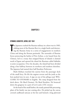#### **Chapter 3**

#### **OTOMARI, KARAFUTO, JAPAN, JULY 1941**

**T** he Japanese crushed the Russian military in a short war in 1905, sinking most of the Russian fleet in a single battle and destroying the Russian Army in a series of engagements in southern China and along the Korean peninsula. The surrender of Russian forces protecting the harbor of Port Arthur, a city leased from the Chinese, led to a treaty that stripped Russia of islands it claimed north of Japan and opened the island the Russians called Sakhalin to joint occupation. Over the decades, the island had been divided along a line halfway between its northern and southern shoreline. The Japanese had named their half Karafuto Prefecture.

Mark Ishihara watched the sunrise from the passenger deck of the small ferry. He felt the engines reverse and the jostle as the bow pushed into its nest. A sign on one of the pilings read, WEL-COME TO OTOMARI in English. The ramp dropped from the dock above. He liked Otomari. He liked Karafuto. He bounced down the gangway in a pair of Levi's and a USC sweater.

At the head of the small harbor, the neatly painted fish processing plant of his family was just coming alive. He picked up the canvas covered cardboard suitcase at his feet and hoisted a long plywood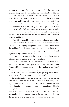box onto his shoulder. The heavy forest surrounding the town was a welcome change from the crowded cities on the main islands of Japan.

Screeching seagulls bombarded his ears. He stopped to take it all in. The water at Otomari was blue-green, not the brown of mainland Japan, and it smelled much the same as the waters of Puget Sound or even Alaska. *You don't have to shut out the stench of sewage and chemicals like in Japan's larger ports,* he thought. At the harbor entrance, schools of salmon swirled on the surface, chased by seals.

Sturdy wooden houses flanked the short road to the cannery. Behind them, evergreens and birches covered hills that stretched into a warm blue sky.

"Watashi wa watashi no sofu Haruku o Homon suru Kokodesu," he offered to the first man he found outside the cannery. The man bowed slightly and pointed toward a small office above the building. Mark bounded up the stairs, bursting through the heavy door. The office was empty until a graying man in red striped pajamas emerged from a side room.

"Dokku no otoko ga, watashi wa koko ne watashi no sofu o mitsueru koto go dediru to nobeta," uttered Mark.

"You are Mark then," stammered the man. "I am Roku, manager. The man on dock knows grandfather usually here when he is in Otomari. He is at summerhouse now. I dress and drive you there." Roku walked over to a desk, clamping a headset over his ears. He dialed in a frequency on a radio and began speaking into a microphone. "Grandfather welcomes you to Karafuto."

The old Ford pickup purred as it wound its way north. Before reaching the small city of Toyohara Roku, it turned right, heading toward the coast. The small dirt road twisted through the hills before dropping into a beautiful valley spilling out of the highlands. Through the valley a stream grew into a short river as a dozen creeks merged. In the distance, the river flowed into the Sea of Okhotsk. Roku pulled the pickup to the side of the road and stepped out of the cab. He motioned for Mark to join him at the overlook.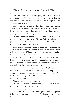"Maybe all Japan like this once," he said. "Maybe like you Alaska?"

The valley below was filled with grassy meadows and stands of cottonwood trees. The meadows were a canvas of red, yellow and blue flowers. "It is very beautiful, like a painting," replied Mark. "Alaska is more rugged."

Roku pointed at a house near where three streams came together. A covered porch wrapped around the structure. All around the house, flower gardens added even more color. In a huge vegetable garden, a woman stood waving.

"Airi here almost all summer. Haruku comes when he can. Airi talks of you coming for a week. We go," finished Roku. As the pickup began to roll down the winding hill, a black Mitsubishi sedan rolled to a stop at the overlook.

Mark met his grandfather for the first time only a month before, when he traveled with Mark and his parents around Japan. Grandfather stopped in a half dozen villages to show his son and grandson the expanded family fishing business; places Michi had left behind as he resigned his military life in 1920's occupied Vladivostok, Russia. Mark had never met Airi, his grandmother. He wasn't really sure how to approach the woman who gardened in a silk blouse and skirt and walked with an ivory-headed cane.

Airi planted her cane in soft soil next to her left leg and ran the few feet between where she stood and where the pickup rolled to a stop. She wrapped her arms around her grandson, the top of her head barely reaching his chest. She didn't say a word. She dabbed at tears as she stepped back.

"Kangei mago," she finally managed.

"Watashi wa koko ni, saishutekini anata no sobo o mitasu tame ne ureshiku omoimasu," answered Mark.

Airi smiled at her husband.

"Your Japanese is better than my English," offered his grandfather. "It pleases your grandmother. You honor her in her own language. She worried she would not be able to talk to you."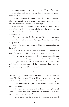"Anata wa watashi no teien o goran ne naritaldesu ka?" said Airi.

Mark rolled his head up, buying time to translate his grandmother's words.

"She invites you to walk through her gardens," offered Haruku. "She is very proud that after so many years away from her family farm, she still remembers how to grow things."

Mark took his grandmother's hand, as she led him into the maze of colors in front of the house. Roku turned to the older man and whispered, "We were followed. There are two men in a sedan at the overlook."

"Thank you for using English my old friend. I do not want to worry Airi," replied Haruku. "Do you think they are Tokko, policy police?"

"Maybe. One of the men was seen following your grandson off the ferry."

"You must stay for lunch," offered Haruku. "We will make a show of eating at the table in the garden before you head back."

"They will not harass me my old friend. My mother was Korean and Russian and my father, Japanese. I was born on this island. I am a bridge to everyone that the Tokko are worried about. Every week they buy me lunch and I tell them things that they would see themselves if they weren't lazy bastards."

\*

"We will bring home one salmon for your grandmother to fix for dinner," laughed Haruku. "That is, if I can ever get the hook with feathers into the water. I seem to catch only tree limbs and grass. I still do not understand why you catch a beautiful salmon just to turn it loose again."

"In the States, they call this catch and release fishing," replied Mark. "You catch them just for fun and release them so that they can continue upriver to spawn."

"I seem to catch only the trees and the end of my own pole. I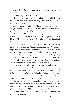struggle to throw the line behind me with this light pole and then bring it forward without wrapping the line around the tip."

A cloud swept over Mark's face.

His grandfather watched as the end of Mark's rod jerked and then jerked again without him noticing. "You are not happy to be here?" asked Haruku.

Mark snapped out of his funk. "I am very happy to be with you and grandmother," he replied. "I was just remembering the last time I tried to teach someone to fly fish."

"Your father told me about the accident, when Stephan died. He was very proud of how you tried to help the younger ones," guessed Haruku. "The ocean has given our family life for generations, but it has also taken more than one Ishihara."

"Chad and I were so cold. We found a small rock shelter and the kind of rock lamp the Ainu used a long time ago. We managed to get a small oil fire started and then we fell asleep. If we had not stopped to rest, maybe Woody and Stephan would have lived."

"If you had continued, in the fog, cold and wet along a steep cliff, Airi and I might have no grandchildren. Both your aunt Arisu and her infant daughter died in childbirth before you were born. Your father and you are the only blood family we have."

"That is why I studied business just as you and father did," replied Mark. "I am proud to be part of the family and the business. Now, one more time, bring the rod back with your elbow until you feel the line reach its full length behind you before you try to whip it forward, Grandfather. You only need a short line. Look at the line of salmon only a few feet in front of you."

The two men sat on the porch overlooking the spot they had been fishing. Airi was marinating the salmon fillets from the only fish her husband managed to land, in sesame oil, rice vinegar and herbs. She placed a tin bucket of cold Sapporo beers between the men.

"Would you still be proud of being part of the family if your grandfather goes to jail?"

"Father never told me about your secret career as a bank robber,"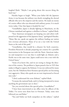laughed Mark. "Maybe I am going about this success thing the hard way."

Haruku began to laugh. "When your father left the Japanese Army, it was because the military was slowly strangling the elected officials who serve the emperor and the nation. He made an enemy of a senior officer who was obsessed with military power. It is much worse today. I fear that Japan is headed for war."

"Grandfather, Japan is already fighting in Manchuria, on the Chinese mainland and against a rebellion in Korea," replied Mark.

"Your American newspapers are keeping you and others wellposted on the aggression of the Japanese Army," apologized Haruku. "Many like me, speak out against the military leading our nation into overseas adventures. Many of us see a war with the United States at the end of this path."

"Grandfather, that would be a disaster for both countries. President Roosevelt is already preparing our country for a possible intervention in the European war with the Nazis. American industry and manpower is so vast that it could fight an Atlantic and a Pacific war at the same time. Japan could never win a war with the United States."

"Some of us know this, and we are trying to change the direction of the country. The problem is, Japan passed a law in 1925 that makes it illegal to oppose the Kokutai. It was not enforced for many years, but the Tokubetsu Koto Keisatsu special police are becoming very aggressive. Many who speak out are now imprisoned or forced into exile."

"I don't understand the term *Kokutai*," replied Mark.

"It means the national body, and it is being interpreted to mean anything the government says or does."

"Are you worried about this special police, Grandfather?"

"I have been interviewed at my office twice by officers of the Tokko. I've never seen them here in Otomari. Today, some men followed you and Roku."

"You and Father are both outspoken on this subject," replied